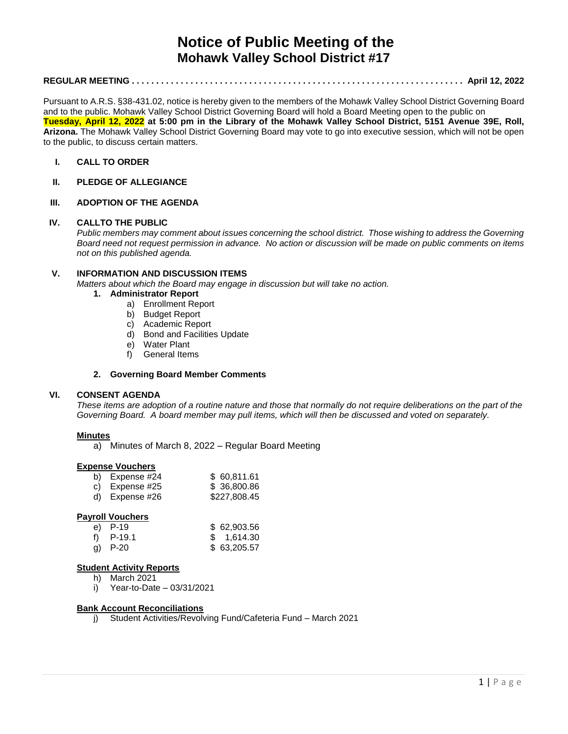# **Notice of Public Meeting of the Mohawk Valley School District #17**

# **REGULAR MEETING . . . . . . . . . . . . . . . . . . . . . . . . . . . . . . . . . . . . . . . . . . . . . . . . . . . . . . . . . . . . . . . . . . . . April 12, 2022**

Pursuant to A.R.S. §38-431.02, notice is hereby given to the members of the Mohawk Valley School District Governing Board and to the public. Mohawk Valley School District Governing Board will hold a Board Meeting open to the public on **Tuesday, April 12, 2022 at 5:00 pm in the Library of the Mohawk Valley School District, 5151 Avenue 39E, Roll, Arizona.** The Mohawk Valley School District Governing Board may vote to go into executive session, which will not be open to the public, to discuss certain matters.

#### **I. CALL TO ORDER**

**II. PLEDGE OF ALLEGIANCE**

# **III. ADOPTION OF THE AGENDA**

#### **IV. CALLTO THE PUBLIC**

*Public members may comment about issues concerning the school district. Those wishing to address the Governing Board need not request permission in advance. No action or discussion will be made on public comments on items not on this published agenda.*

#### **V. INFORMATION AND DISCUSSION ITEMS**

*Matters about which the Board may engage in discussion but will take no action.* 

- **1. Administrator Report**
	- a) Enrollment Report
	- b) Budget Report
	- c) Academic Report
	- d) Bond and Facilities Update
	- e) Water Plant
	- f) General Items

#### **2. Governing Board Member Comments**

#### **VI. CONSENT AGENDA**

*These items are adoption of a routine nature and those that normally do not require deliberations on the part of the Governing Board. A board member may pull items, which will then be discussed and voted on separately.*

#### **Minutes**

a) Minutes of March 8, 2022 – Regular Board Meeting

#### **Expense Vouchers**

| b) Expense #24   | \$60,811.61  |
|------------------|--------------|
| c) Expense $#25$ | \$ 36,800.86 |

d) Expense #26 \$227,808,45

#### **Payroll Vouchers**

| e) P-19     | \$ 62,903.56 |
|-------------|--------------|
| f) $P-19.1$ | \$1,614.30   |
| g) $P-20$   | \$ 63,205.57 |

#### **Student Activity Reports**

- h) March 2021
- i) Year-to-Date 03/31/2021

#### **Bank Account Reconciliations**

j) Student Activities/Revolving Fund/Cafeteria Fund – March 2021